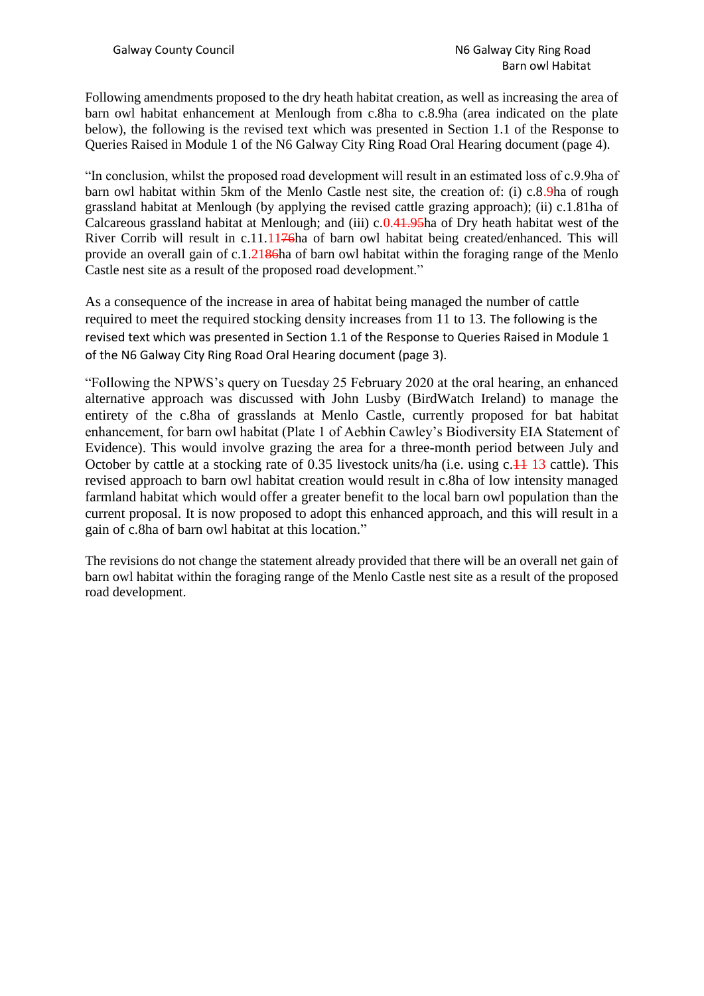Following amendments proposed to the dry heath habitat creation, as well as increasing the area of barn owl habitat enhancement at Menlough from c.8ha to c.8.9ha (area indicated on the plate below), the following is the revised text which was presented in Section 1.1 of the Response to Queries Raised in Module 1 of the N6 Galway City Ring Road Oral Hearing document (page 4).

"In conclusion, whilst the proposed road development will result in an estimated loss of c.9.9ha of barn owl habitat within 5km of the Menlo Castle nest site, the creation of: (i) c.8.9ha of rough grassland habitat at Menlough (by applying the revised cattle grazing approach); (ii) c.1.81ha of Calcareous grassland habitat at Menlough; and (iii) c.0.41.95ha of Dry heath habitat west of the River Corrib will result in c.11.1176ha of barn owl habitat being created/enhanced. This will provide an overall gain of c.1.2186ha of barn owl habitat within the foraging range of the Menlo Castle nest site as a result of the proposed road development."

As a consequence of the increase in area of habitat being managed the number of cattle required to meet the required stocking density increases from 11 to 13. The following is the revised text which was presented in Section 1.1 of the Response to Queries Raised in Module 1 of the N6 Galway City Ring Road Oral Hearing document (page 3).

"Following the NPWS's query on Tuesday 25 February 2020 at the oral hearing, an enhanced alternative approach was discussed with John Lusby (BirdWatch Ireland) to manage the entirety of the c.8ha of grasslands at Menlo Castle, currently proposed for bat habitat enhancement, for barn owl habitat (Plate 1 of Aebhin Cawley's Biodiversity EIA Statement of Evidence). This would involve grazing the area for a three-month period between July and October by cattle at a stocking rate of 0.35 livestock units/ha (i.e. using  $c<sub>1</sub>+113$  cattle). This revised approach to barn owl habitat creation would result in c.8ha of low intensity managed farmland habitat which would offer a greater benefit to the local barn owl population than the current proposal. It is now proposed to adopt this enhanced approach, and this will result in a gain of c.8ha of barn owl habitat at this location."

The revisions do not change the statement already provided that there will be an overall net gain of barn owl habitat within the foraging range of the Menlo Castle nest site as a result of the proposed road development.